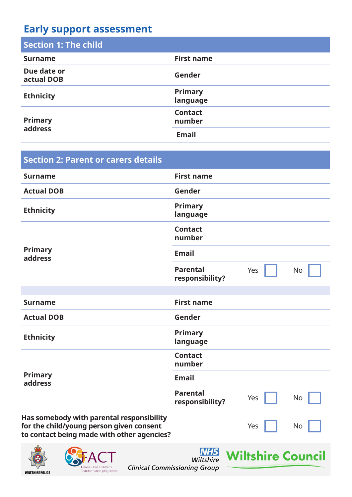# **Early support assessment**

| <b>Section 1: The child</b> |                            |
|-----------------------------|----------------------------|
| <b>Surname</b>              | <b>First name</b>          |
| Due date or<br>actual DOB   | Gender                     |
| <b>Ethnicity</b>            | <b>Primary</b><br>language |
| <b>Primary</b>              | <b>Contact</b><br>number   |
| address                     | <b>Email</b>               |

| <b>Section 2: Parent or carers details</b>                                                                                          |                                    |     |           |
|-------------------------------------------------------------------------------------------------------------------------------------|------------------------------------|-----|-----------|
| <b>Surname</b>                                                                                                                      | <b>First name</b>                  |     |           |
| <b>Actual DOB</b>                                                                                                                   | Gender                             |     |           |
| <b>Ethnicity</b>                                                                                                                    | <b>Primary</b><br>language         |     |           |
|                                                                                                                                     | <b>Contact</b><br>number           |     |           |
| <b>Primary</b><br>address                                                                                                           | <b>Email</b>                       |     |           |
|                                                                                                                                     | <b>Parental</b><br>responsibility? | Yes | No        |
|                                                                                                                                     |                                    |     |           |
| <b>Surname</b>                                                                                                                      | <b>First name</b>                  |     |           |
| <b>Actual DOB</b>                                                                                                                   | Gender                             |     |           |
| <b>Ethnicity</b>                                                                                                                    | <b>Primary</b><br>language         |     |           |
|                                                                                                                                     | <b>Contact</b><br>number           |     |           |
| <b>Primary</b><br>address                                                                                                           | <b>Email</b>                       |     |           |
|                                                                                                                                     | <b>Parental</b><br>responsibility? | Yes | <b>No</b> |
| Has somebody with parental responsibility<br>for the child/young person given consent<br>to contact being made with other agencies? |                                    | Yes | No        |
| $\mathbf{d}$<br>$\sqrt{2}$                                                                                                          | <b>AILIC</b>                       |     |           |





**Clinical Commissioning Group** 

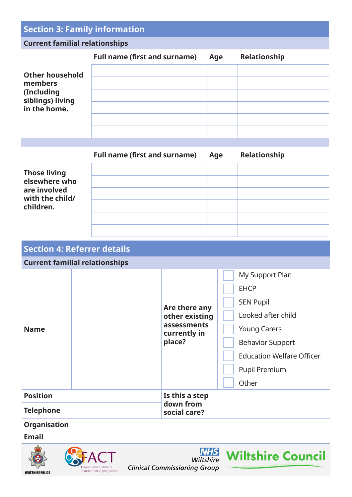# **Section 3: Family information**

# **Current familial relationships**

|                                                | <b>Full name (first and surname)</b> | Age | Relationship |
|------------------------------------------------|--------------------------------------|-----|--------------|
| <b>Other household</b><br>members              |                                      |     |              |
| (Including<br>siblings) living<br>in the home. |                                      |     |              |
|                                                |                                      |     |              |
|                                                |                                      |     |              |

|                                                                                      | <b>Full name (first and surname)</b> | Age | Relationship                   |
|--------------------------------------------------------------------------------------|--------------------------------------|-----|--------------------------------|
| <b>Those living</b><br>elsewhere who<br>are involved<br>with the child/<br>children. |                                      |     |                                |
|                                                                                      | <b>Section 4: Referrer details</b>   |     |                                |
| <b>Current familial relationships</b>                                                |                                      |     |                                |
|                                                                                      |                                      |     | My Support Plan<br><b>EHCP</b> |

| <b>Position</b><br><b>Telephone</b> | place?<br>Is this a step<br>down from                          | <b>Behavior Support</b><br><b>Education Welfare Officer</b><br><b>Pupil Premium</b><br>Other |
|-------------------------------------|----------------------------------------------------------------|----------------------------------------------------------------------------------------------|
| <b>Name</b>                         | Are there any<br>other existing<br>assessments<br>currently in | <b>SEN Pupil</b><br>Looked after child<br><b>Young Carers</b>                                |

### **Organisation**

### **Email**





**NHS**<br>Wiltshire **Clinical Commissioning Group** 

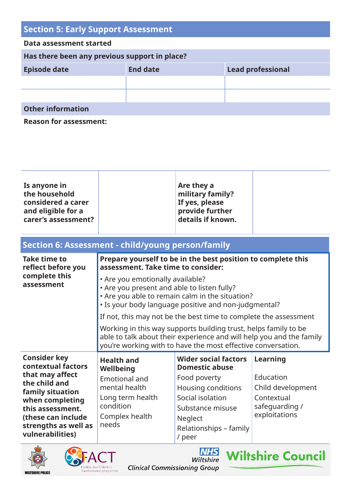| <b>Section 5: Early Support Assessment</b>    |                 |                          |  |  |  |
|-----------------------------------------------|-----------------|--------------------------|--|--|--|
| Data assessment started                       |                 |                          |  |  |  |
| Has there been any previous support in place? |                 |                          |  |  |  |
| <b>Episode date</b>                           | <b>End date</b> | <b>Lead professional</b> |  |  |  |
|                                               |                 |                          |  |  |  |
|                                               |                 |                          |  |  |  |
| <b>Other information</b>                      |                 |                          |  |  |  |

**Reason for assessment:**

| Is anyone in        | Are they a        |
|---------------------|-------------------|
| the household       | military family?  |
| considered a carer  | If yes, please    |
| and eligible for a  | provide further   |
| carer's assessment? | details if known. |
|                     |                   |

# **Section 6: Assessment - child/young person/family**

| <b>Take time to</b><br>reflect before you                                                                                                                     | Prepare yourself to be in the best position to complete this<br>assessment. Take time to consider:                                                                                                      |                                                      |                                 |  |
|---------------------------------------------------------------------------------------------------------------------------------------------------------------|---------------------------------------------------------------------------------------------------------------------------------------------------------------------------------------------------------|------------------------------------------------------|---------------------------------|--|
| complete this<br>assessment                                                                                                                                   | • Are you emotionally available?<br>• Are you present and able to listen fully?<br>• Are you able to remain calm in the situation?<br>. Is your body language positive and non-judgmental?              |                                                      |                                 |  |
|                                                                                                                                                               | If not, this may not be the best time to complete the assessment                                                                                                                                        |                                                      |                                 |  |
|                                                                                                                                                               | Working in this way supports building trust, helps family to be<br>able to talk about their experience and will help you and the family<br>you're working with to have the most effective conversation. |                                                      |                                 |  |
| <b>Consider key</b><br>contextual factors                                                                                                                     | <b>Health and</b><br>Wellbeing                                                                                                                                                                          | <b>Wider social factors</b><br><b>Domestic abuse</b> | Learning                        |  |
| that may affect<br>the child and<br>family situation<br>when completing<br>this assessment.<br>(these can include<br>strengths as well as<br>vulnerabilities) | Emotional and                                                                                                                                                                                           | Food poverty                                         | Education                       |  |
|                                                                                                                                                               | mental health                                                                                                                                                                                           | Housing conditions                                   | Child development               |  |
|                                                                                                                                                               | Long term health<br>condition                                                                                                                                                                           | Social isolation                                     | Contextual                      |  |
|                                                                                                                                                               | Complex health                                                                                                                                                                                          | Substance misuse                                     | safeguarding /<br>exploitations |  |
|                                                                                                                                                               | needs                                                                                                                                                                                                   | Neglect<br>Relationships - family<br>/ peer          |                                 |  |





**NHS**<br>Wiltshire **Clinical Commissioning Group** 

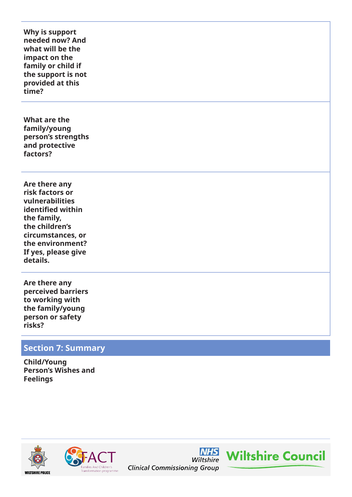**Why is support needed now? And what will be the impact on the family or child if the support is not provided at this time? What are the family/young person's strengths and protective factors? Are there any risk factors or vulnerabilities identified within the family, the children's circumstances, or the environment? If yes, please give details. Are there any perceived barriers to working with the family/young person or safety risks?**

# **Section 7: Summary**

**Child/Young Person's Wishes and Feelings**





**NHS Wiltshire Clinical Commissioning Group** 

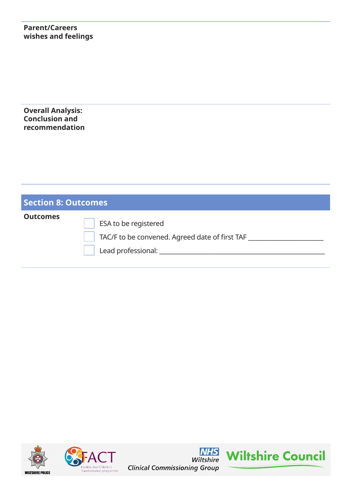#### **Parent/Careers wishes and feelings**

**Overall Analysis: Conclusion and recommendation**

# **Section 8: Outcomes**

| <b>Outcomes</b> | ESA to be registered                           |
|-----------------|------------------------------------------------|
|                 | TAC/F to be convened. Agreed date of first TAF |
|                 | Lead professional:                             |
|                 |                                                |





**NHS**<br>Wiltshire **Clinical Commissioning Group**